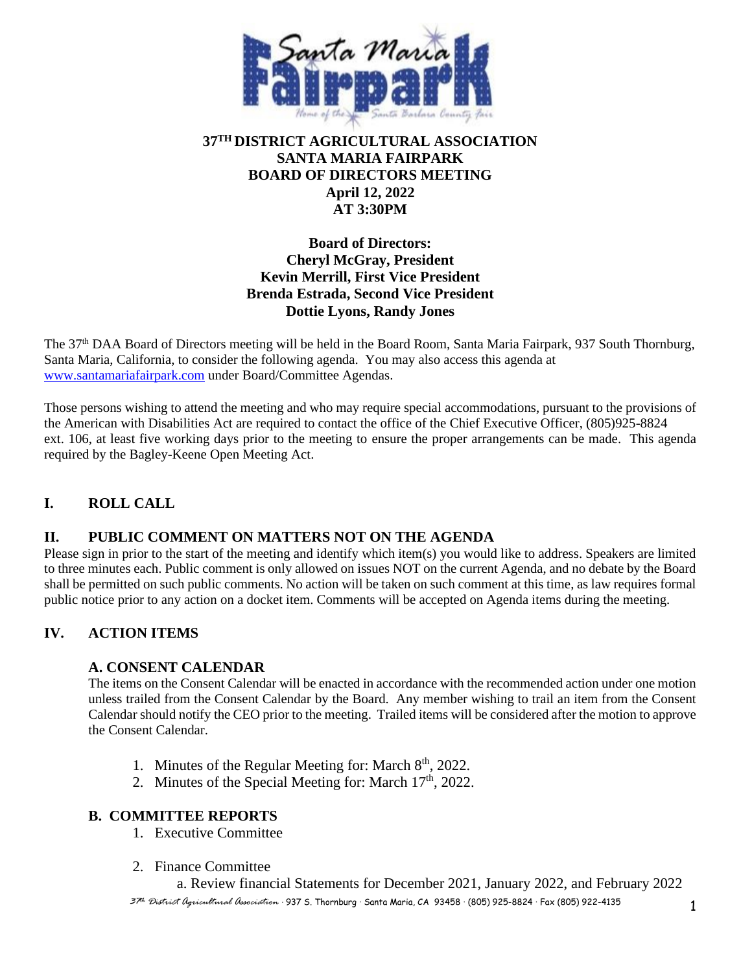

# **37TH DISTRICT AGRICULTURAL ASSOCIATION SANTA MARIA FAIRPARK BOARD OF DIRECTORS MEETING April 12, 2022 AT 3:30PM**

# **Board of Directors: Cheryl McGray, President Kevin Merrill, First Vice President Brenda Estrada, Second Vice President Dottie Lyons, Randy Jones**

The 37th DAA Board of Directors meeting will be held in the Board Room, Santa Maria Fairpark, 937 South Thornburg, Santa Maria, California, to consider the following agenda. You may also access this agenda at [www.santamariafairpark.com](http://www.santamariafairpark.com/) under Board/Committee Agendas.

Those persons wishing to attend the meeting and who may require special accommodations, pursuant to the provisions of the American with Disabilities Act are required to contact the office of the Chief Executive Officer, (805)925-8824 ext. 106, at least five working days prior to the meeting to ensure the proper arrangements can be made. This agenda required by the Bagley-Keene Open Meeting Act.

# **I. ROLL CALL**

# **II. PUBLIC COMMENT ON MATTERS NOT ON THE AGENDA**

Please sign in prior to the start of the meeting and identify which item(s) you would like to address. Speakers are limited to three minutes each. Public comment is only allowed on issues NOT on the current Agenda, and no debate by the Board shall be permitted on such public comments. No action will be taken on such comment at this time, as law requires formal public notice prior to any action on a docket item. Comments will be accepted on Agenda items during the meeting.

# **IV. ACTION ITEMS**

## **A. CONSENT CALENDAR**

The items on the Consent Calendar will be enacted in accordance with the recommended action under one motion unless trailed from the Consent Calendar by the Board. Any member wishing to trail an item from the Consent Calendar should notify the CEO prior to the meeting. Trailed items will be considered after the motion to approve the Consent Calendar.

- 1. Minutes of the Regular Meeting for: March 8<sup>th</sup>, 2022.
- 2. Minutes of the Special Meeting for: March  $17<sup>th</sup>$ , 2022.

## **B. COMMITTEE REPORTS**

- 1. Executive Committee
- 2. Finance Committee

a. Review financial Statements for December 2021, January 2022, and February 2022

*<sup>37</sup>th District Agricultural Association* · 937 S. Thornburg · Santa Maria, CA 93458 · (805) 925-8824 · Fax (805) 922-4135 1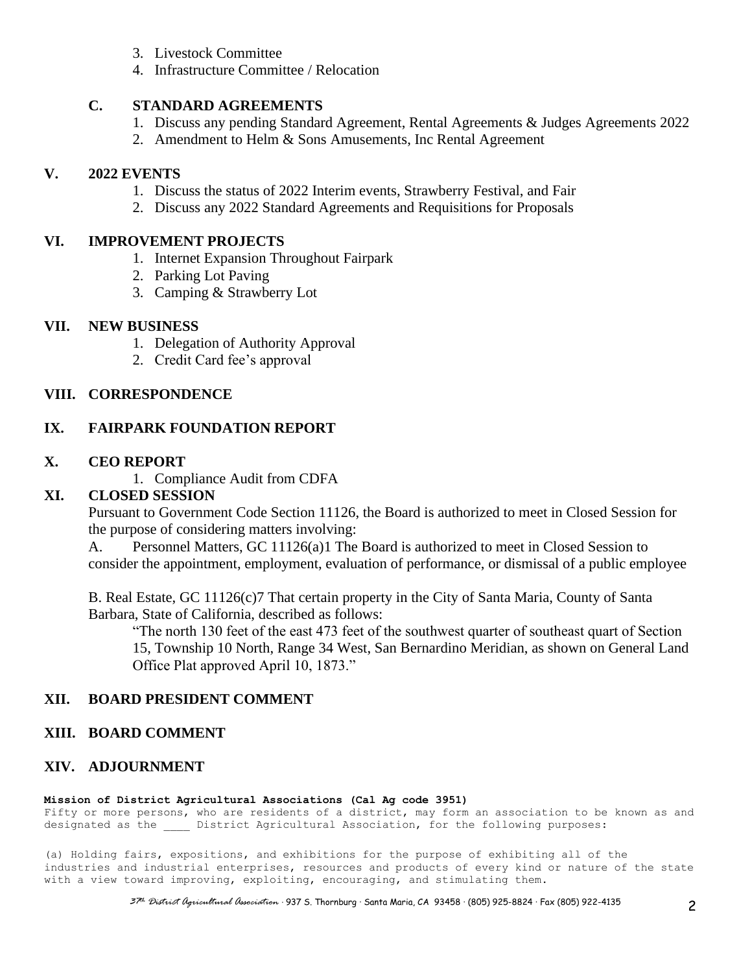- 3. Livestock Committee
- 4. Infrastructure Committee / Relocation

## **C. STANDARD AGREEMENTS**

- 1. Discuss any pending Standard Agreement, Rental Agreements & Judges Agreements 2022
- 2. Amendment to Helm & Sons Amusements, Inc Rental Agreement

# **V. 2022 EVENTS**

- 1. Discuss the status of 2022 Interim events, Strawberry Festival, and Fair
- 2. Discuss any 2022 Standard Agreements and Requisitions for Proposals

#### **VI. IMPROVEMENT PROJECTS**

- 1. Internet Expansion Throughout Fairpark
- 2. Parking Lot Paving
- 3. Camping & Strawberry Lot

# **VII. NEW BUSINESS**

- 1. Delegation of Authority Approval
- 2. Credit Card fee's approval

# **VIII. CORRESPONDENCE**

# **IX. FAIRPARK FOUNDATION REPORT**

#### **X. CEO REPORT**

1. Compliance Audit from CDFA

# **XI. CLOSED SESSION**

Pursuant to Government Code Section 11126, the Board is authorized to meet in Closed Session for the purpose of considering matters involving:

A. Personnel Matters, GC 11126(a)1 The Board is authorized to meet in Closed Session to consider the appointment, employment, evaluation of performance, or dismissal of a public employee

B. Real Estate, GC 11126(c)7 That certain property in the City of Santa Maria, County of Santa Barbara, State of California, described as follows:

"The north 130 feet of the east 473 feet of the southwest quarter of southeast quart of Section 15, Township 10 North, Range 34 West, San Bernardino Meridian, as shown on General Land Office Plat approved April 10, 1873."

## **XII. BOARD PRESIDENT COMMENT**

## **XIII. BOARD COMMENT**

## **XIV. ADJOURNMENT**

#### **Mission of District Agricultural Associations (Cal Ag code 3951)**

Fifty or more persons, who are residents of a district, may form an association to be known as and designated as the \_\_\_\_\_ District Agricultural Association, for the following purposes:

(a) Holding fairs, expositions, and exhibitions for the purpose of exhibiting all of the industries and industrial enterprises, resources and products of every kind or nature of the state with a view toward improving, exploiting, encouraging, and stimulating them.

*<sup>37</sup>th District Agricultural Association* · 937 S. Thornburg · Santa Maria, CA 93458 · (805) 925-8824 · Fax (805) 922-4135 2